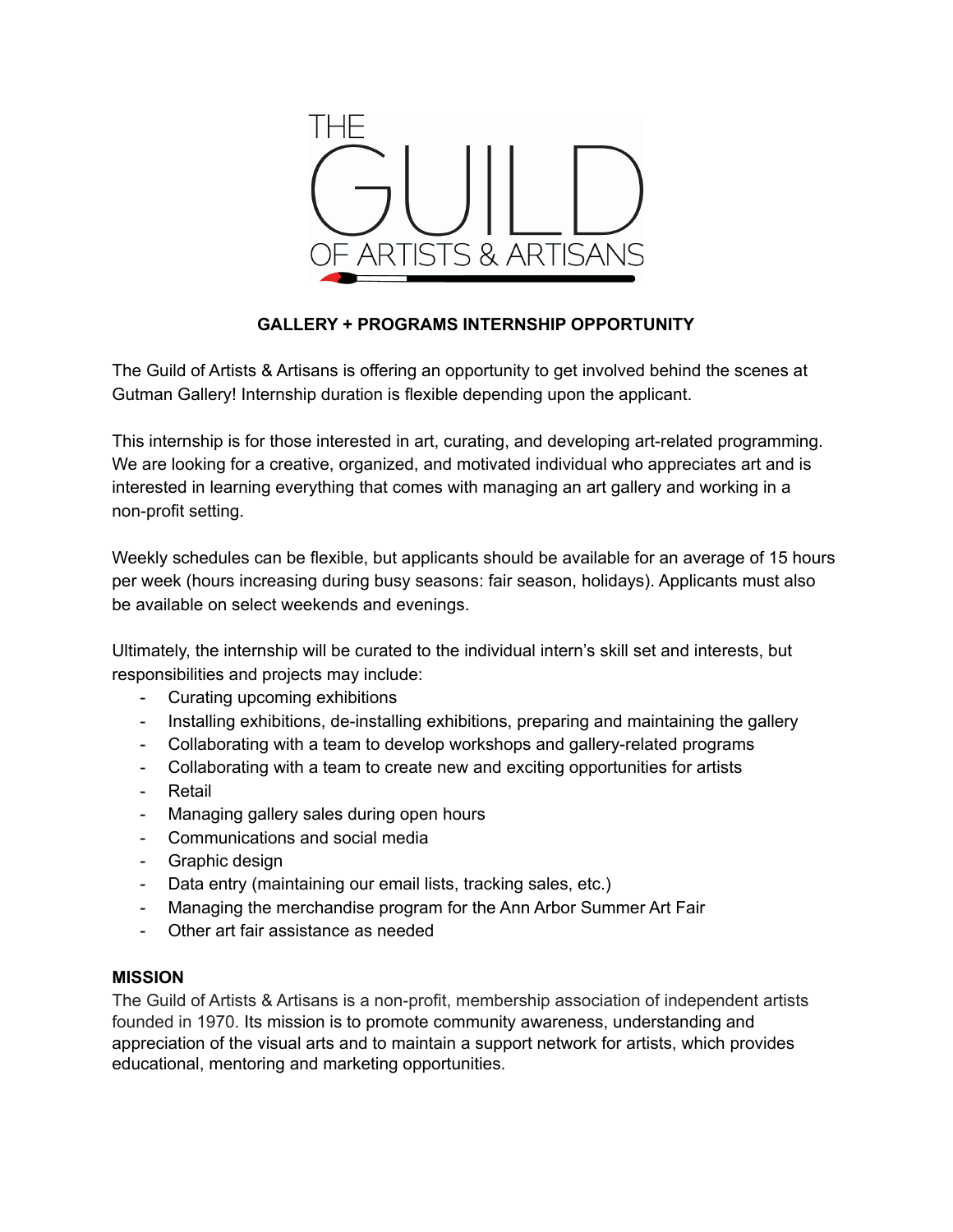

# **GALLERY + PROGRAMS INTERNSHIP OPPORTUNITY**

The Guild of Artists & Artisans is offering an opportunity to get involved behind the scenes at Gutman Gallery! Internship duration is flexible depending upon the applicant.

This internship is for those interested in art, curating, and developing art-related programming. We are looking for a creative, organized, and motivated individual who appreciates art and is interested in learning everything that comes with managing an art gallery and working in a non-profit setting.

Weekly schedules can be flexible, but applicants should be available for an average of 15 hours per week (hours increasing during busy seasons: fair season, holidays). Applicants must also be available on select weekends and evenings.

Ultimately, the internship will be curated to the individual intern's skill set and interests, but responsibilities and projects may include:

- Curating upcoming exhibitions
- Installing exhibitions, de-installing exhibitions, preparing and maintaining the gallery
- Collaborating with a team to develop workshops and gallery-related programs
- Collaborating with a team to create new and exciting opportunities for artists
- Retail
- Managing gallery sales during open hours
- Communications and social media
- Graphic design
- Data entry (maintaining our email lists, tracking sales, etc.)
- Managing the merchandise program for the Ann Arbor Summer Art Fair
- Other art fair assistance as needed

### **MISSION**

The Guild of Artists & Artisans is a non-profit, membership association of independent artists founded in 1970. Its mission is to promote community awareness, understanding and appreciation of the visual arts and to maintain a support network for artists, which provides educational, mentoring and marketing opportunities.